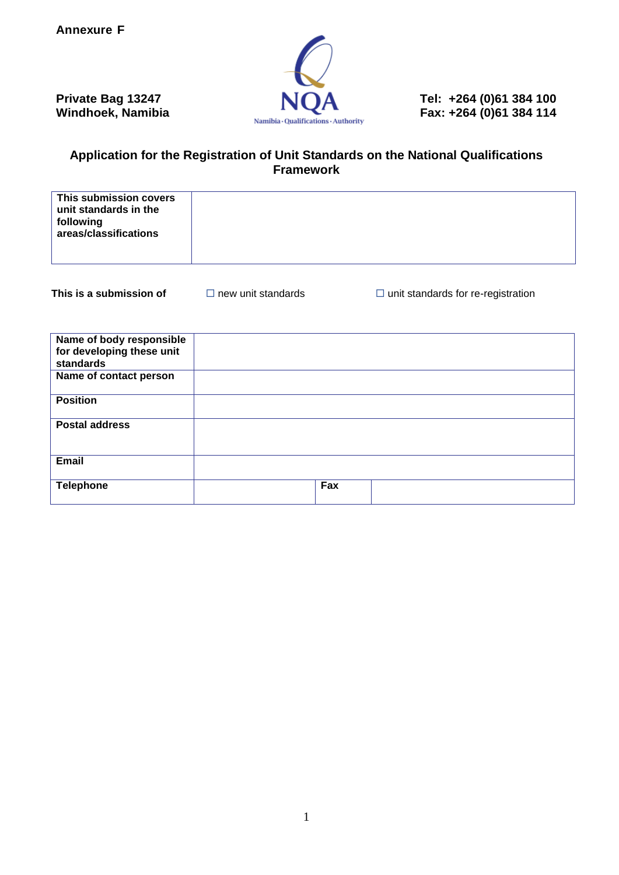

**Private Bag 13247 NQA** Tel: +264 (0)61 384 100 **Windhoek, Namibia NQA** Fax: +264 (0)61 384 114

### **Application for the Registration of Unit Standards on the National Qualifications Framework**

| This submission covers<br>unit standards in the<br>following<br>areas/classifications |  |
|---------------------------------------------------------------------------------------|--|
|---------------------------------------------------------------------------------------|--|

**This is a submission of**  $\Box$  new unit standards  $\Box$  unit standards for re-registration

| Name of body responsible<br>for developing these unit<br>standards |     |
|--------------------------------------------------------------------|-----|
| Name of contact person                                             |     |
| <b>Position</b>                                                    |     |
| <b>Postal address</b>                                              |     |
| <b>Email</b>                                                       |     |
| <b>Telephone</b>                                                   | Fax |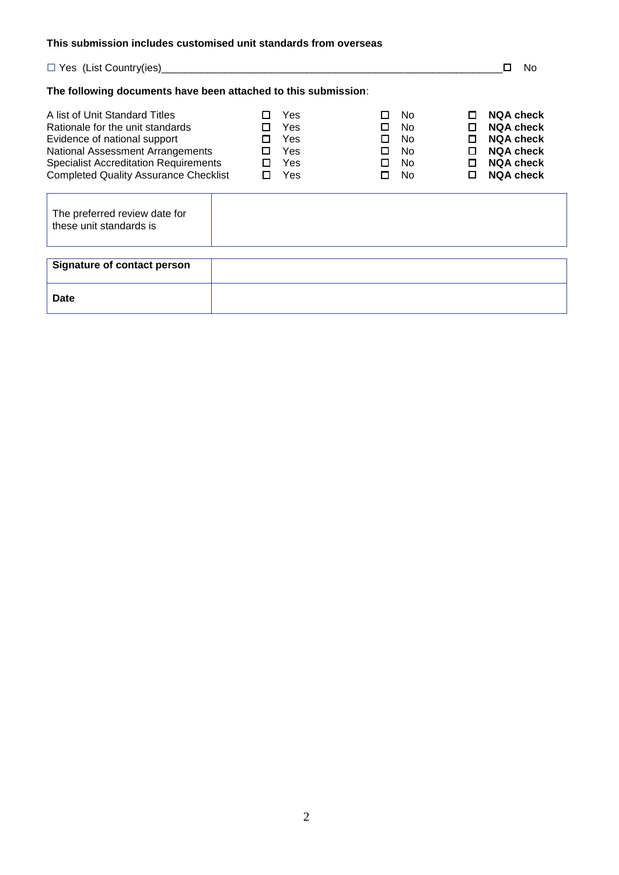#### **This submission includes customised unit standards from overseas**

|                                                                                                                                                                                                                                               |                            |                                        |                             |                                        |                                   | No.                                                                                                                  |
|-----------------------------------------------------------------------------------------------------------------------------------------------------------------------------------------------------------------------------------------------|----------------------------|----------------------------------------|-----------------------------|----------------------------------------|-----------------------------------|----------------------------------------------------------------------------------------------------------------------|
| The following documents have been attached to this submission:                                                                                                                                                                                |                            |                                        |                             |                                        |                                   |                                                                                                                      |
| A list of Unit Standard Titles<br>Rationale for the unit standards<br>Evidence of national support<br><b>National Assessment Arrangements</b><br><b>Specialist Accreditation Requirements</b><br><b>Completed Quality Assurance Checklist</b> | П<br>П<br>п<br>□<br>□<br>п | Yes<br>Yes<br>Yes<br>Yes<br>Yes<br>Yes | П<br>п<br>п<br>П.<br>п<br>п | No.<br>No.<br>No.<br>No.<br>No.<br>No. | П<br>п<br>П<br>П.<br>П.<br>$\Box$ | <b>NQA check</b><br><b>NQA check</b><br><b>NOA check</b><br><b>NQA check</b><br><b>NQA check</b><br><b>NQA check</b> |
| The preferred review date for<br>these unit standards is                                                                                                                                                                                      |                            |                                        |                             |                                        |                                   |                                                                                                                      |
| Signature of contact person                                                                                                                                                                                                                   |                            |                                        |                             |                                        |                                   |                                                                                                                      |
| Date                                                                                                                                                                                                                                          |                            |                                        |                             |                                        |                                   |                                                                                                                      |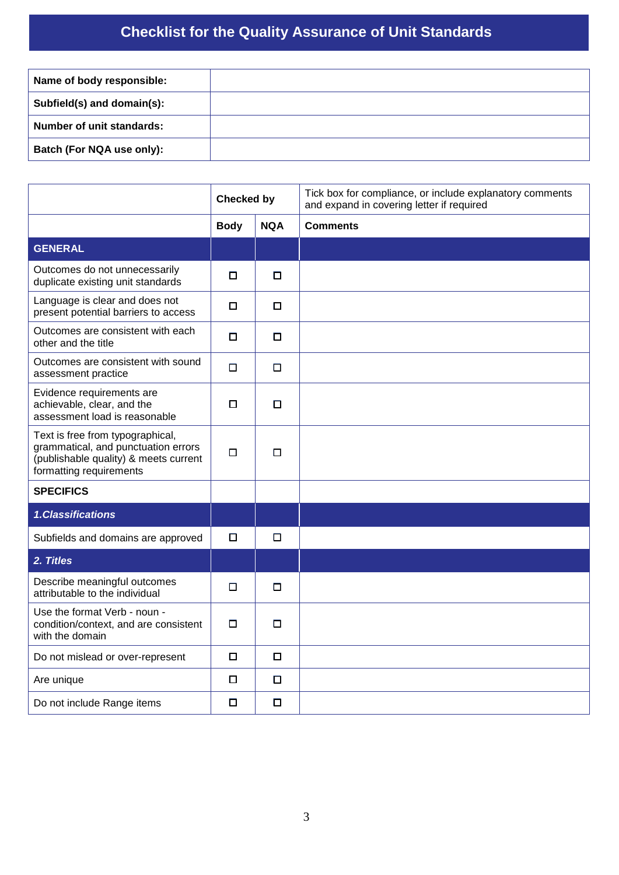### **Checklist for the Quality Assurance of Unit Standards**

| Name of body responsible:  |  |
|----------------------------|--|
| Subfield(s) and domain(s): |  |
| Number of unit standards:  |  |
| Batch (For NQA use only):  |  |

|                                                                                                                                             | <b>Checked by</b> |            | Tick box for compliance, or include explanatory comments<br>and expand in covering letter if required |
|---------------------------------------------------------------------------------------------------------------------------------------------|-------------------|------------|-------------------------------------------------------------------------------------------------------|
|                                                                                                                                             | <b>Body</b>       | <b>NQA</b> | <b>Comments</b>                                                                                       |
| <b>GENERAL</b>                                                                                                                              |                   |            |                                                                                                       |
| Outcomes do not unnecessarily<br>duplicate existing unit standards                                                                          | $\Box$            | $\Box$     |                                                                                                       |
| Language is clear and does not<br>present potential barriers to access                                                                      | □                 | □          |                                                                                                       |
| Outcomes are consistent with each<br>other and the title                                                                                    | 0                 | □          |                                                                                                       |
| Outcomes are consistent with sound<br>assessment practice                                                                                   | $\Box$            | $\Box$     |                                                                                                       |
| Evidence requirements are<br>achievable, clear, and the<br>assessment load is reasonable                                                    | $\Box$            | □          |                                                                                                       |
| Text is free from typographical,<br>grammatical, and punctuation errors<br>(publishable quality) & meets current<br>formatting requirements | $\Box$            | $\Box$     |                                                                                                       |
| <b>SPECIFICS</b>                                                                                                                            |                   |            |                                                                                                       |
| 1.Classifications                                                                                                                           |                   |            |                                                                                                       |
| Subfields and domains are approved                                                                                                          | □                 | □          |                                                                                                       |
| 2. Titles                                                                                                                                   |                   |            |                                                                                                       |
| Describe meaningful outcomes<br>attributable to the individual                                                                              | $\Box$            | □          |                                                                                                       |
| Use the format Verb - noun -<br>condition/context, and are consistent<br>with the domain                                                    | $\Box$            | □          |                                                                                                       |
| Do not mislead or over-represent                                                                                                            | $\Box$            | $\Box$     |                                                                                                       |
| Are unique                                                                                                                                  | $\Box$            | □          |                                                                                                       |
| Do not include Range items                                                                                                                  | $\Box$            | $\Box$     |                                                                                                       |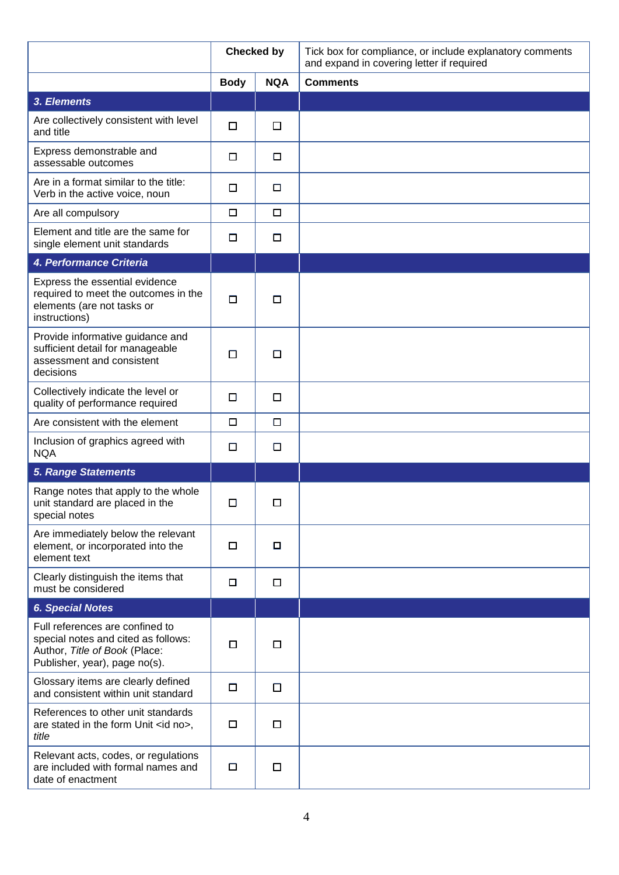|                                                                                                                                          | <b>Checked by</b>         |        | Tick box for compliance, or include explanatory comments<br>and expand in covering letter if required |
|------------------------------------------------------------------------------------------------------------------------------------------|---------------------------|--------|-------------------------------------------------------------------------------------------------------|
|                                                                                                                                          | <b>NQA</b><br><b>Body</b> |        | <b>Comments</b>                                                                                       |
| 3. Elements                                                                                                                              |                           |        |                                                                                                       |
| Are collectively consistent with level<br>and title                                                                                      | $\Box$                    | $\Box$ |                                                                                                       |
| Express demonstrable and<br>assessable outcomes                                                                                          | □                         | $\Box$ |                                                                                                       |
| Are in a format similar to the title:<br>Verb in the active voice, noun                                                                  | □                         | $\Box$ |                                                                                                       |
| Are all compulsory                                                                                                                       | □                         | $\Box$ |                                                                                                       |
| Element and title are the same for<br>single element unit standards                                                                      | □                         | $\Box$ |                                                                                                       |
| 4. Performance Criteria                                                                                                                  |                           |        |                                                                                                       |
| Express the essential evidence<br>required to meet the outcomes in the<br>elements (are not tasks or<br>instructions)                    | □                         | □      |                                                                                                       |
| Provide informative guidance and<br>sufficient detail for manageable<br>assessment and consistent<br>decisions                           | □                         | □      |                                                                                                       |
| Collectively indicate the level or<br>quality of performance required                                                                    | $\Box$                    | $\Box$ |                                                                                                       |
| Are consistent with the element                                                                                                          | $\Box$                    | $\Box$ |                                                                                                       |
| Inclusion of graphics agreed with<br><b>NQA</b>                                                                                          | □                         | □      |                                                                                                       |
| <b>5. Range Statements</b>                                                                                                               |                           |        |                                                                                                       |
| Range notes that apply to the whole<br>unit standard are placed in the<br>special notes                                                  | □                         | □      |                                                                                                       |
| Are immediately below the relevant<br>element, or incorporated into the<br>element text                                                  | □                         | □      |                                                                                                       |
| Clearly distinguish the items that<br>must be considered                                                                                 | □                         | □      |                                                                                                       |
| <b>6. Special Notes</b>                                                                                                                  |                           |        |                                                                                                       |
| Full references are confined to<br>special notes and cited as follows:<br>Author, Title of Book (Place:<br>Publisher, year), page no(s). | $\Box$                    | □      |                                                                                                       |
| Glossary items are clearly defined<br>and consistent within unit standard                                                                | □                         | $\Box$ |                                                                                                       |
| References to other unit standards<br>are stated in the form Unit <id no="">,<br/>title</id>                                             | □                         | $\Box$ |                                                                                                       |
| Relevant acts, codes, or regulations<br>are included with formal names and<br>date of enactment                                          | □                         | $\Box$ |                                                                                                       |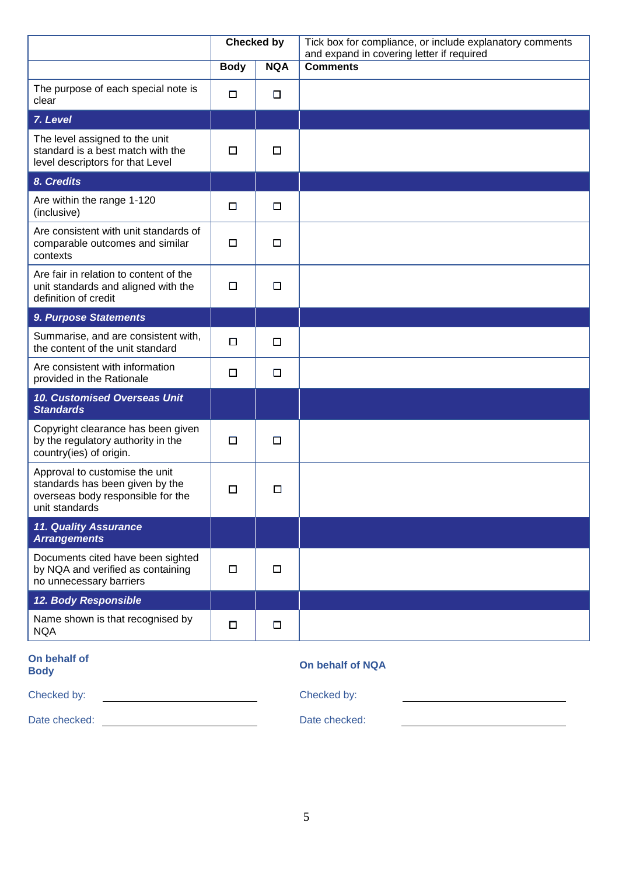|                                                                                                                          | <b>Checked by</b> |            | Tick box for compliance, or include explanatory comments<br>and expand in covering letter if required |
|--------------------------------------------------------------------------------------------------------------------------|-------------------|------------|-------------------------------------------------------------------------------------------------------|
|                                                                                                                          | <b>Body</b>       | <b>NQA</b> | <b>Comments</b>                                                                                       |
| The purpose of each special note is<br>clear                                                                             | □                 | $\Box$     |                                                                                                       |
| 7. Level                                                                                                                 |                   |            |                                                                                                       |
| The level assigned to the unit<br>standard is a best match with the<br>level descriptors for that Level                  | □                 | □          |                                                                                                       |
| 8. Credits                                                                                                               |                   |            |                                                                                                       |
| Are within the range 1-120<br>(inclusive)                                                                                | □                 | $\Box$     |                                                                                                       |
| Are consistent with unit standards of<br>comparable outcomes and similar<br>contexts                                     | □                 | □          |                                                                                                       |
| Are fair in relation to content of the<br>unit standards and aligned with the<br>definition of credit                    | □                 | □          |                                                                                                       |
| 9. Purpose Statements                                                                                                    |                   |            |                                                                                                       |
| Summarise, and are consistent with,<br>the content of the unit standard                                                  | $\Box$            | □          |                                                                                                       |
| Are consistent with information<br>provided in the Rationale                                                             | □                 | $\Box$     |                                                                                                       |
| 10. Customised Overseas Unit<br><b>Standards</b>                                                                         |                   |            |                                                                                                       |
| Copyright clearance has been given<br>by the regulatory authority in the<br>country(ies) of origin.                      | $\Box$            | $\Box$     |                                                                                                       |
| Approval to customise the unit<br>standards has been given by the<br>overseas body responsible for the<br>unit standards | □                 | □          |                                                                                                       |
| <b>11. Quality Assurance</b><br><b>Arrangements</b>                                                                      |                   |            |                                                                                                       |
| Documents cited have been sighted<br>by NQA and verified as containing<br>no unnecessary barriers                        | $\Box$            | $\Box$     |                                                                                                       |
| 12. Body Responsible                                                                                                     |                   |            |                                                                                                       |
| Name shown is that recognised by<br><b>NQA</b>                                                                           | $\Box$            | $\Box$     |                                                                                                       |
|                                                                                                                          |                   |            |                                                                                                       |

# **On behalf of**

### **Body On behalf of NQA**

<u>and the community of the community of the community of the community of the community of the community of the community of the community of the community of the community of the community of the community of the community</u>

Checked by: Checked by:

Date checked: <u>Date checked:</u> Date checked: